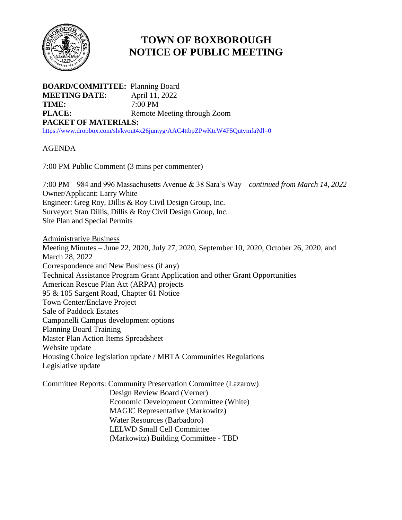

## **TOWN OF BOXBOROUGH NOTICE OF PUBLIC MEETING**

**BOARD/COMMITTEE:** Planning Board **MEETING DATE:** April 11, 2022 **TIME:** 7:00 PM **PLACE:** Remote Meeting through Zoom **PACKET OF MATERIALS:** <https://www.dropbox.com/sh/kvout4x26juntyg/AAC4ttbpZPwKtcW4F5Qutvmfa?dl=0>

AGENDA

7:00 PM Public Comment (3 mins per commenter)

7:00 PM – 984 and 996 Massachusetts Avenue & 38 Sara's Way – *continued from March 14, 2022* Owner/Applicant: Larry White Engineer: Greg Roy, Dillis & Roy Civil Design Group, Inc. Surveyor: Stan Dillis, Dillis & Roy Civil Design Group, Inc. Site Plan and Special Permits

Administrative Business Meeting Minutes – June 22, 2020, July 27, 2020, September 10, 2020, October 26, 2020, and March 28, 2022 Correspondence and New Business (if any) Technical Assistance Program Grant Application and other Grant Opportunities American Rescue Plan Act (ARPA) projects 95 & 105 Sargent Road, Chapter 61 Notice Town Center/Enclave Project Sale of Paddock Estates Campanelli Campus development options Planning Board Training Master Plan Action Items Spreadsheet Website update Housing Choice legislation update / MBTA Communities Regulations Legislative update

Committee Reports: Community Preservation Committee (Lazarow) Design Review Board (Verner) Economic Development Committee (White) MAGIC Representative (Markowitz) Water Resources (Barbadoro) LELWD Small Cell Committee (Markowitz) Building Committee - TBD